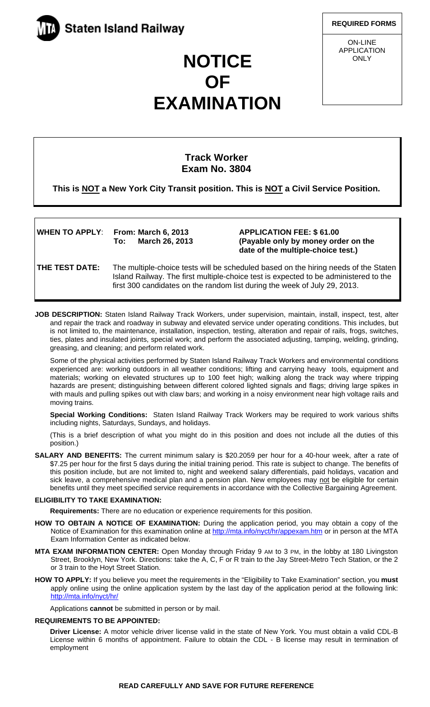

**REQUIRED FORMS**

**Example 2014**<br>
ON-LINE APPLICATION **ONLY** 

# **NOTICE OF EXAMINATION**

# **Track Worker Exam No. 3804**

**This is NOT a New York City Transit position. This is NOT a Civil Service Position.** 

| WHEN TO APPLY: From: March 6, 2013 |                    |
|------------------------------------|--------------------|
|                                    | To: March 26, 2013 |

**WHEN TO APPLY**: **From: March 6, 2013 APPLICATION FEE: \$ 61.00**  (Payable only by money order on the  **date of the multiple-choice test.)** 

**THE TEST DATE:** The multiple-choice tests will be scheduled based on the hiring needs of the Staten Island Railway. The first multiple-choice test is expected to be administered to the first 300 candidates on the random list during the week of July 29, 2013.

**JOB DESCRIPTION:** Staten Island Railway Track Workers, under supervision, maintain, install, inspect, test, alter and repair the track and roadway in subway and elevated service under operating conditions. This includes, but is not limited to, the maintenance, installation, inspection, testing, alteration and repair of rails, frogs, switches, ties, plates and insulated joints, special work; and perform the associated adjusting, tamping, welding, grinding, greasing, and cleaning; and perform related work.

Some of the physical activities performed by Staten Island Railway Track Workers and environmental conditions experienced are: working outdoors in all weather conditions; lifting and carrying heavy tools, equipment and materials; working on elevated structures up to 100 feet high; walking along the track way where tripping hazards are present; distinguishing between different colored lighted signals and flags; driving large spikes in with mauls and pulling spikes out with claw bars; and working in a noisy environment near high voltage rails and moving trains.

**Special Working Conditions:** Staten Island Railway Track Workers may be required to work various shifts including nights, Saturdays, Sundays, and holidays.

(This is a brief description of what you might do in this position and does not include all the duties of this position.)

**SALARY AND BENEFITS:** The current minimum salary is \$20.2059 per hour for a 40-hour week, after a rate of \$7.25 per hour for the first 5 days during the initial training period. This rate is subject to change. The benefits of this position include, but are not limited to, night and weekend salary differentials, paid holidays, vacation and sick leave, a comprehensive medical plan and a pension plan. New employees may not be eligible for certain benefits until they meet specified service requirements in accordance with the Collective Bargaining Agreement.

# **ELIGIBILITY TO TAKE EXAMINATION:**

**Requirements:** There are no education or experience requirements for this position.

- **HOW TO OBTAIN A NOTICE OF EXAMINATION:** During the application period, you may obtain a copy of the Notice of Examination for this examination online at http://mta.info/nyct/hr/appexam.htm or in person at the MTA Exam Information Center as indicated below.
- **MTA EXAM INFORMATION CENTER:** Open Monday through Friday 9 AM to 3 PM, in the lobby at 180 Livingston Street, Brooklyn, New York. Directions: take the A, C, F or R train to the Jay Street-Metro Tech Station, or the 2 or 3 train to the Hoyt Street Station.
- **HOW TO APPLY:** If you believe you meet the requirements in the "Eligibility to Take Examination" section, you **must** apply online using the online application system by the last day of the application period at the following link: http://mta.info/nyct/hr/

Applications **cannot** be submitted in person or by mail.

# **REQUIREMENTS TO BE APPOINTED:**

**Driver License:** A motor vehicle driver license valid in the state of New York. You must obtain a valid CDL-B License within 6 months of appointment. Failure to obtain the CDL - B license may result in termination of employment